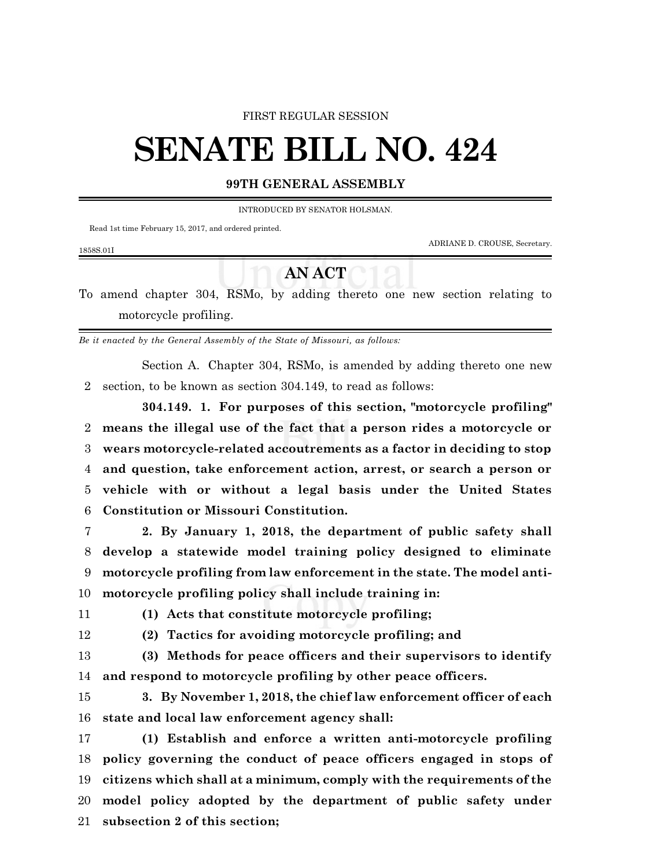### FIRST REGULAR SESSION

# **SENATE BILL NO. 424**

### **99TH GENERAL ASSEMBLY**

INTRODUCED BY SENATOR HOLSMAN.

Read 1st time February 15, 2017, and ordered printed.

ADRIANE D. CROUSE, Secretary.

1858S.01I

## **AN ACT**

To amend chapter 304, RSMo, by adding thereto one new section relating to motorcycle profiling.

*Be it enacted by the General Assembly of the State of Missouri, as follows:*

Section A. Chapter 304, RSMo, is amended by adding thereto one new section, to be known as section 304.149, to read as follows:

**304.149. 1. For purposes of this section, "motorcycle profiling" means the illegal use of the fact that a person rides a motorcycle or wears motorcycle-related accoutrements as a factor in deciding to stop and question, take enforcement action, arrest, or search a person or vehicle with or without a legal basis under the United States Constitution or Missouri Constitution.**

 **2. By January 1, 2018, the department of public safety shall develop a statewide model training policy designed to eliminate motorcycle profiling from law enforcement in the state. The model anti-motorcycle profiling policy shall include training in:**

**(1) Acts that constitute motorcycle profiling;**

**(2) Tactics for avoiding motorcycle profiling; and**

 **(3) Methods for peace officers and their supervisors to identify and respond to motorcycle profiling by other peace officers.**

 **3. By November 1, 2018, the chief law enforcement officer of each state and local law enforcement agency shall:**

 **(1) Establish and enforce a written anti-motorcycle profiling policy governing the conduct of peace officers engaged in stops of citizens which shall at a minimum, comply with the requirements of the model policy adopted by the department of public safety under subsection 2 of this section;**